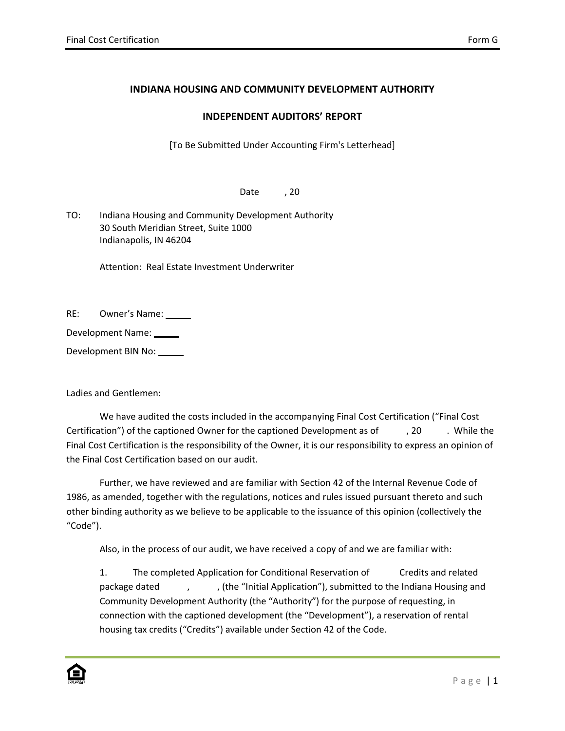## **INDIANA HOUSING AND COMMUNITY DEVELOPMENT AUTHORITY**

## **INDEPENDENT AUDITORS' REPORT**

[To Be Submitted Under Accounting Firm's Letterhead]

Date<sub>,20</sub>

TO: Indiana Housing and Community Development Authority 30 South Meridian Street, Suite 1000 Indianapolis, IN 46204

Attention: Real Estate Investment Underwriter

RE: Owner's Name:

Development Name:

Development BIN No:

Ladies and Gentlemen:

We have audited the costs included in the accompanying Final Cost Certification ("Final Cost Certification") of the captioned Owner for the captioned Development as of  $\qquad$ , 20 . While the Final Cost Certification is the responsibility of the Owner, it is our responsibility to express an opinion of the Final Cost Certification based on our audit.

Further, we have reviewed and are familiar with Section 42 of the Internal Revenue Code of 1986, as amended, together with the regulations, notices and rules issued pursuant thereto and such other binding authority as we believe to be applicable to the issuance of this opinion (collectively the "Code").

Also, in the process of our audit, we have received a copy of and we are familiar with:

1. The completed Application for Conditional Reservation of Credits and related package dated , , , , , (the "Initial Application"), submitted to the Indiana Housing and Community Development Authority (the "Authority") for the purpose of requesting, in connection with the captioned development (the "Development"), a reservation of rental housing tax credits ("Credits") available under Section 42 of the Code.